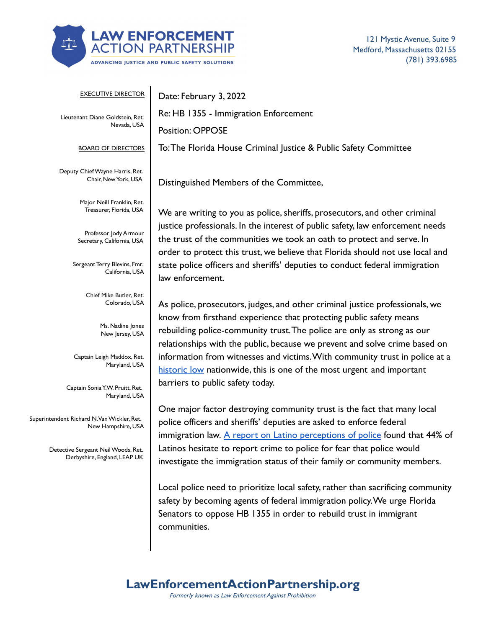

121 Mystic Avenue, Suite 9 Medford, Massachusetts 02155 (781) 393.6985

| <b>EXECUTIVE DIRECTOR</b>                                         | Date: February 3, 2022                                                                                                                                                                                                                   |
|-------------------------------------------------------------------|------------------------------------------------------------------------------------------------------------------------------------------------------------------------------------------------------------------------------------------|
| Lieutenant Diane Goldstein, Ret.<br>Nevada, USA                   | Re: HB 1355 - Immigration Enforcement                                                                                                                                                                                                    |
|                                                                   | <b>Position: OPPOSE</b>                                                                                                                                                                                                                  |
| <b>BOARD OF DIRECTORS</b>                                         | To: The Florida House Criminal Justice & Public Safety Committee                                                                                                                                                                         |
| Deputy Chief Wayne Harris, Ret.<br>Chair, New York, USA           | Distinguished Members of the Committee,                                                                                                                                                                                                  |
| Major Neill Franklin, Ret.<br>Treasurer, Florida, USA             | We are writing to you as police, sheriffs, prosecutors, and other criminal                                                                                                                                                               |
| Professor Jody Armour<br>Secretary, California, USA               | justice professionals. In the interest of public safety, law enforcement needs<br>the trust of the communities we took an oath to protect and serve. In<br>order to protect this trust, we believe that Florida should not use local and |
| Sergeant Terry Blevins, Fmr.<br>California, USA                   | state police officers and sheriffs' deputies to conduct federal immigration<br>law enforcement.                                                                                                                                          |
| Chief Mike Butler, Ret.<br>Colorado, USA                          | As police, prosecutors, judges, and other criminal justice professionals, we                                                                                                                                                             |
| Ms. Nadine Jones<br>New Jersey, USA                               | know from firsthand experience that protecting public safety means<br>rebuilding police-community trust. The police are only as strong as our<br>relationships with the public, because we prevent and solve crime based on              |
| Captain Leigh Maddox, Ret.<br>Maryland, USA                       | information from witnesses and victims. With community trust in police at a<br>historic low nationwide, this is one of the most urgent and important                                                                                     |
| Captain Sonia Y.W. Pruitt, Ret.<br>Maryland, USA                  | barriers to public safety today.                                                                                                                                                                                                         |
| Superintendent Richard N. Van Wickler, Ret.<br>New Hampshire, USA | One major factor destroying community trust is the fact that many local<br>police officers and sheriffs' deputies are asked to enforce federal                                                                                           |

Detective Sergeant NeilWoods, Ret. Derbyshire, England, LEAP UK Latinos hesitate to report crime to police for fear that police would investigate the immigration status of their family or community members.

immigration law. [A report on Latino perceptions of](https://www.policylink.org/sites/default/files/INSECURE_COMMUNITIES_REPORT_FINAL.PDF#page=3) police found that 44% of

Local police need to prioritize local safety, rather than sacrificing community safety by becoming agents of federal immigration policy.We urge Florida Senators to oppose HB 1355 in order to rebuild trust in immigrant communities.

## **LawEnforcementActionPartnership.org**

Formerly known as Law Enforcement Against Prohibition